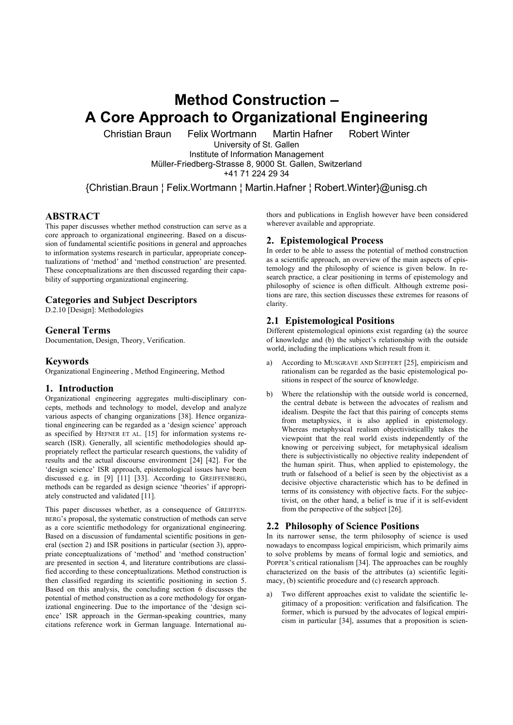# **Method Construction – A Core Approach to Organizational Engineering**

Christian Braun Felix Wortmann Martin Hafner Robert Winter

University of St. Gallen

Institute of Information Management Müller-Friedberg-Strasse 8, 9000 St. Gallen, Switzerland

+41 71 224 29 34

{Christian.Braun ¦ Felix.Wortmann ¦ Martin.Hafner ¦ Robert.Winter}@unisg.ch

## **ABSTRACT**

This paper discusses whether method construction can serve as a core approach to organizational engineering. Based on a discussion of fundamental scientific positions in general and approaches to information systems research in particular, appropriate conceptualizations of 'method' and 'method construction' are presented. These conceptualizations are then discussed regarding their capability of supporting organizational engineering.

## **Categories and Subject Descriptors**

D.2.10 [Design]: Methodologies

## **General Terms**

Documentation, Design, Theory, Verification.

### **Keywords**

Organizational Engineering , Method Engineering, Method

#### **1. Introduction**

Organizational engineering aggregates multi-disciplinary concepts, methods and technology to model, develop and analyze various aspects of changing organizations [38]. Hence organizational engineering can be regarded as a 'design science' approach as specified by HEFNER ET AL. [15] for information systems research (ISR). Generally, all scientific methodologies should appropriately reflect the particular research questions, the validity of results and the actual discourse environment [24] [42]. For the 'design science' ISR approach, epistemological issues have been discussed e.g. in [9] [11] [33]. According to GREIFFENBERG, methods can be regarded as design science 'theories' if appropriately constructed and validated [11].

This paper discusses whether, as a consequence of GREIFFEN-BERG's proposal, the systematic construction of methods can serve as a core scientific methodology for organizational engineering. Based on a discussion of fundamental scientific positions in general (section 2) and ISR positions in particular (section 3), appropriate conceptualizations of 'method' and 'method construction' are presented in section 4, and literature contributions are classified according to these conceptualizations. Method construction is then classified regarding its scientific positioning in section 5. Based on this analysis, the concluding section 6 discusses the potential of method construction as a core methodology for organizational engineering. Due to the importance of the 'design science' ISR approach in the German-speaking countries, many citations reference work in German language. International authors and publications in English however have been considered wherever available and appropriate.

#### **2. Epistemological Process**

In order to be able to assess the potential of method construction as a scientific approach, an overview of the main aspects of epistemology and the philosophy of science is given below. In research practice, a clear positioning in terms of epistemology and philosophy of science is often difficult. Although extreme positions are rare, this section discusses these extremes for reasons of clarity.

## **2.1 Epistemological Positions**

Different epistemological opinions exist regarding (a) the source of knowledge and (b) the subject's relationship with the outside world, including the implications which result from it.

- a) According to MUSGRAVE AND SEIFFERT [25], empiricism and rationalism can be regarded as the basic epistemological positions in respect of the source of knowledge.
- Where the relationship with the outside world is concerned. the central debate is between the advocates of realism and idealism. Despite the fact that this pairing of concepts stems from metaphysics, it is also applied in epistemology. Whereas metaphysical realism objectivisticallly takes the viewpoint that the real world exists independently of the knowing or perceiving subject, for metaphysical idealism there is subjectivistically no objective reality independent of the human spirit. Thus, when applied to epistemology, the truth or falsehood of a belief is seen by the objectivist as a decisive objective characteristic which has to be defined in terms of its consistency with objective facts. For the subjectivist, on the other hand, a belief is true if it is self-evident from the perspective of the subject [26].

## **2.2 Philosophy of Science Positions**

In its narrower sense, the term philosophy of science is used nowadays to encompass logical empiricism, which primarily aims to solve problems by means of formal logic and semiotics, and POPPER'S critical rationalism [34]. The approaches can be roughly characterized on the basis of the attributes (a) scientific legitimacy, (b) scientific procedure and (c) research approach.

a) Two different approaches exist to validate the scientific legitimacy of a proposition: verification and falsification. The former, which is pursued by the advocates of logical empiricism in particular [34], assumes that a proposition is scien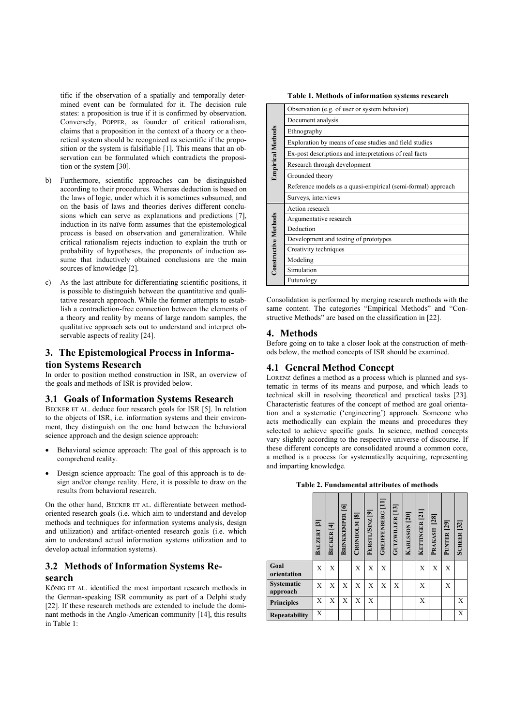tific if the observation of a spatially and temporally determined event can be formulated for it. The decision rule states: a proposition is true if it is confirmed by observation. Conversely, POPPER, as founder of critical rationalism, claims that a proposition in the context of a theory or a theoretical system should be recognized as scientific if the proposition or the system is falsifiable [1]. This means that an observation can be formulated which contradicts the proposition or the system [30].

- b) Furthermore, scientific approaches can be distinguished according to their procedures. Whereas deduction is based on the laws of logic, under which it is sometimes subsumed, and on the basis of laws and theories derives different conclusions which can serve as explanations and predictions [7], induction in its naïve form assumes that the epistemological process is based on observation and generalization. While critical rationalism rejects induction to explain the truth or probability of hypotheses, the proponents of induction assume that inductively obtained conclusions are the main sources of knowledge [2].
- As the last attribute for differentiating scientific positions, it is possible to distinguish between the quantitative and qualitative research approach. While the former attempts to establish a contradiction-free connection between the elements of a theory and reality by means of large random samples, the qualitative approach sets out to understand and interpret observable aspects of reality [24].

# **3. The Epistemological Process in Information Systems Research**

In order to position method construction in ISR, an overview of the goals and methods of ISR is provided below.

#### **3.1 Goals of Information Systems Research**

BECKER ET AL. deduce four research goals for ISR [5]. In relation to the objects of ISR, i.e. information systems and their environment, they distinguish on the one hand between the behavioral science approach and the design science approach:

- Behavioral science approach: The goal of this approach is to comprehend reality.
- Design science approach: The goal of this approach is to design and/or change reality. Here, it is possible to draw on the results from behavioral research.

On the other hand, BECKER ET AL. differentiate between methodoriented research goals (i.e. which aim to understand and develop methods and techniques for information systems analysis, design and utilization) and artifact-oriented research goals (i.e. which aim to understand actual information systems utilization and to develop actual information systems).

## **3.2 Methods of Information Systems Research**

KÖNIG ET AL. identified the most important research methods in the German-speaking ISR community as part of a Delphi study [22]. If these research methods are extended to include the dominant methods in the Anglo-American community [14], this results in Table 1:

 **Table 1. Methods of information systems research** 

|                          | Observation (e.g. of user or system behavior)                |  |  |  |  |  |  |
|--------------------------|--------------------------------------------------------------|--|--|--|--|--|--|
| <b>Empirical Methods</b> | Document analysis                                            |  |  |  |  |  |  |
|                          | Ethnography                                                  |  |  |  |  |  |  |
|                          | Exploration by means of case studies and field studies       |  |  |  |  |  |  |
|                          | Ex-post descriptions and interpretations of real facts       |  |  |  |  |  |  |
|                          | Research through development                                 |  |  |  |  |  |  |
|                          | Grounded theory                                              |  |  |  |  |  |  |
|                          | Reference models as a quasi-empirical (semi-formal) approach |  |  |  |  |  |  |
|                          | Surveys, interviews                                          |  |  |  |  |  |  |
|                          | Action research                                              |  |  |  |  |  |  |
|                          | Argumentative research                                       |  |  |  |  |  |  |
|                          | Deduction                                                    |  |  |  |  |  |  |
| Constructive Methods     | Development and testing of prototypes                        |  |  |  |  |  |  |
|                          | Creativity techniques                                        |  |  |  |  |  |  |
|                          | Modeling                                                     |  |  |  |  |  |  |
|                          | Simulation                                                   |  |  |  |  |  |  |
|                          | Futurology                                                   |  |  |  |  |  |  |
|                          |                                                              |  |  |  |  |  |  |

Consolidation is performed by merging research methods with the same content. The categories "Empirical Methods" and "Constructive Methods" are based on the classification in [22].

#### **4. Methods**

Before going on to take a closer look at the construction of methods below, the method concepts of ISR should be examined.

## **4.1 General Method Concept**

LORENZ defines a method as a process which is planned and systematic in terms of its means and purpose, and which leads to technical skill in resolving theoretical and practical tasks [23]. Characteristic features of the concept of method are goal orientation and a systematic ('engineering') approach. Someone who acts methodically can explain the means and procedures they selected to achieve specific goals. In science, method concepts vary slightly according to the respective universe of discourse. If these different concepts are consolidated around a common core, a method is a process for systematically acquiring, representing and imparting knowledge.

**Table 2. Fundamental attributes of methods** 

|                               | BALZERT <sup>[3]</sup> | BECKER [4] | <b>BRINKKEMPER</b> [6] | CRONHOLM <sup>[8]</sup> | FERSTL/SINZ [9] | <b>GREIFFENBERG</b> [11] | GUTZWILLER <sup>[13]</sup> | <b>KARLSSON</b> [20] | <b>KETTINGER [21]</b> | $[28]$<br>PRAKASH | PUNTER <sub>[29]</sub> | <b>SCHEER</b> [32] |
|-------------------------------|------------------------|------------|------------------------|-------------------------|-----------------|--------------------------|----------------------------|----------------------|-----------------------|-------------------|------------------------|--------------------|
| Goal<br>orientation           | Х                      | X          |                        | X                       | Х               | Χ                        |                            |                      | X                     | Х                 | Х                      |                    |
| <b>Systematic</b><br>approach | X                      | X          | X                      | X                       | X               | X                        | X                          |                      | X                     |                   | X                      |                    |
| <b>Principles</b>             | X                      | X          | X                      | X                       | X               |                          |                            |                      | X                     |                   |                        | X                  |
| Repeatability                 | Χ                      |            |                        |                         |                 |                          |                            |                      |                       |                   |                        | X                  |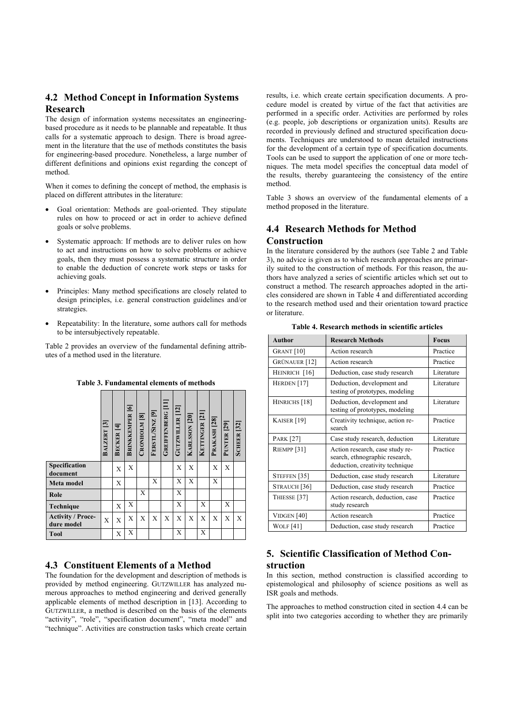## **4.2 Method Concept in Information Systems Research**

The design of information systems necessitates an engineeringbased procedure as it needs to be plannable and repeatable. It thus calls for a systematic approach to design. There is broad agreement in the literature that the use of methods constitutes the basis for engineering-based procedure. Nonetheless, a large number of different definitions and opinions exist regarding the concept of method.

When it comes to defining the concept of method, the emphasis is placed on different attributes in the literature:

- Goal orientation: Methods are goal-oriented. They stipulate rules on how to proceed or act in order to achieve defined goals or solve problems.
- Systematic approach: If methods are to deliver rules on how to act and instructions on how to solve problems or achieve goals, then they must possess a systematic structure in order to enable the deduction of concrete work steps or tasks for achieving goals.
- Principles: Many method specifications are closely related to design principles, i.e. general construction guidelines and/or strategies.
- Repeatability: In the literature, some authors call for methods to be intersubjectively repeatable.

Table 2 provides an overview of the fundamental defining attributes of a method used in the literature.

|                                        | BALZERT <sup>[3]</sup> | BECKER <sup>[4]</sup> | <b>BRINKKEMPER</b> [6] | CRONHOLM <sup>[8]</sup> | FERSTL/SINZ [9] | <b>GREIFFENBERG</b> [11] | <b>GUTZWILLER</b> [12] | <b>KARLSSON</b> [20] | KETTINGER <sup>[21]</sup> | PRAKASH <sub>[28]</sub> | PUNTER <sub>[29]</sub> | <b>SCHEER</b> [32] |
|----------------------------------------|------------------------|-----------------------|------------------------|-------------------------|-----------------|--------------------------|------------------------|----------------------|---------------------------|-------------------------|------------------------|--------------------|
| Specification<br>document              |                        | X                     | X                      |                         |                 |                          | X                      | X                    |                           | X                       | X                      |                    |
| Meta model                             |                        | X                     |                        |                         | X               |                          | X                      | X                    |                           | X                       |                        |                    |
| Role                                   |                        |                       |                        | Χ                       |                 |                          | X                      |                      |                           |                         |                        |                    |
| Technique                              |                        | X                     | X                      |                         |                 |                          | X                      |                      | X                         |                         | Χ                      |                    |
| <b>Activity / Proce-</b><br>dure model | X                      | X                     | X                      | X                       | X               | X                        | X                      | X                    | X                         | X                       | X                      | X                  |
| <b>Tool</b>                            |                        | X                     | X                      |                         |                 |                          | X                      |                      | X                         |                         |                        |                    |

**Table 3. Fundamental elements of methods** 

## **4.3 Constituent Elements of a Method**

The foundation for the development and description of methods is provided by method engineering. GUTZWILLER has analyzed numerous approaches to method engineering and derived generally applicable elements of method description in [13]. According to GUTZWILLER, a method is described on the basis of the elements "activity", "role", "specification document", "meta model" and "technique". Activities are construction tasks which create certain results, i.e. which create certain specification documents. A procedure model is created by virtue of the fact that activities are performed in a specific order. Activities are performed by roles (e.g. people, job descriptions or organization units). Results are recorded in previously defined and structured specification documents. Techniques are understood to mean detailed instructions for the development of a certain type of specification documents. Tools can be used to support the application of one or more techniques. The meta model specifies the conceptual data model of the results, thereby guaranteeing the consistency of the entire method.

Table 3 shows an overview of the fundamental elements of a method proposed in the literature.

#### **4.4 Research Methods for Method Construction**

In the literature considered by the authors (see Table 2 and Table 3), no advice is given as to which research approaches are primarily suited to the construction of methods. For this reason, the authors have analyzed a series of scientific articles which set out to construct a method. The research approaches adopted in the articles considered are shown in Table 4 and differentiated according to the research method used and their orientation toward practice or literature.

| <b>Author</b>            | <b>Research Methods</b>                                                                              | <b>Focus</b> |
|--------------------------|------------------------------------------------------------------------------------------------------|--------------|
| <b>GRANT</b> [10]        | Action research                                                                                      | Practice     |
| <b>GRÜNAUER</b> [12]     | Action research                                                                                      | Practice     |
| HEINRICH [16]            | Deduction, case study research                                                                       | Literature   |
| HERDEN <sup>[17]</sup>   | Deduction, development and<br>testing of prototypes, modeling                                        | Literature   |
| HINRICHS <sup>[18]</sup> | Deduction, development and<br>testing of prototypes, modeling                                        | Literature   |
| KAISER <sup>[19]</sup>   | Creativity technique, action re-<br>search                                                           | Practice     |
| <b>PARK [27]</b>         | Case study research, deduction                                                                       | Literature   |
| RIEMPP <sup>[31]</sup>   | Action research, case study re-<br>search, ethnographic research,<br>deduction, creativity technique | Practice     |
| STEFFEN <sup>[35]</sup>  | Deduction, case study research                                                                       | Literature   |
| STRAUCH <sup>[36]</sup>  | Deduction, case study research                                                                       | Practice     |
| THIESSE <sup>[37]</sup>  | Action research, deduction, case<br>study research                                                   | Practice     |
| VIDGEN [40]              | Action research                                                                                      | Practice     |
| <b>WOLF</b> [41]         | Deduction, case study research                                                                       | Practice     |

**Table 4. Research methods in scientific articles** 

## **5. Scientific Classification of Method Construction**

In this section, method construction is classified according to epistemological and philosophy of science positions as well as ISR goals and methods.

The approaches to method construction cited in section 4.4 can be split into two categories according to whether they are primarily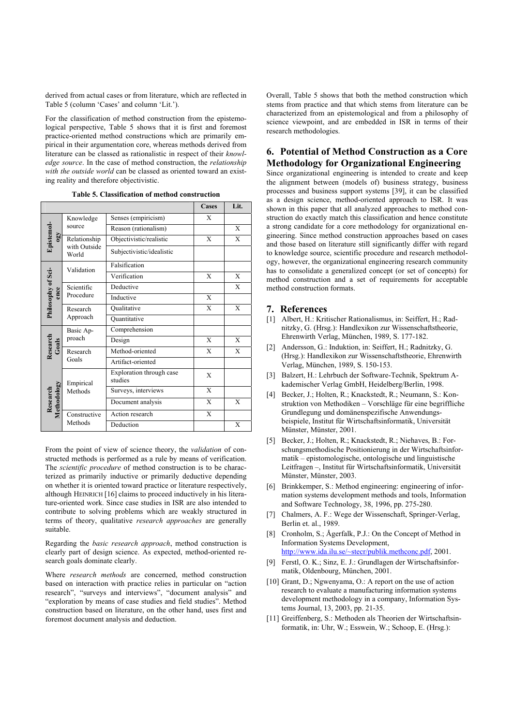derived from actual cases or from literature, which are reflected in Table 5 (column 'Cases' and column 'Lit.').

For the classification of method construction from the epistemological perspective, Table 5 shows that it is first and foremost practice-oriented method constructions which are primarily empirical in their argumentation core, whereas methods derived from literature can be classed as rationalistic in respect of their *knowledge source*. In the case of method construction, the *relationship with the outside world* can be classed as oriented toward an existing reality and therefore objectivistic.

|                         |                       |                                     | <b>Cases</b> | Lit. |
|-------------------------|-----------------------|-------------------------------------|--------------|------|
| Epistemol-<br>$\Omega$  | Knowledge             | Senses (empiricism)                 | X            |      |
|                         | source                | Reason (rationalism)                |              | X    |
|                         | Relationship          | Objectivistic/realistic             | X            | X    |
|                         | with Outside<br>World | Subjectivistic/idealistic           |              |      |
|                         | Validation            | Falsification                       |              |      |
|                         |                       | Verification                        | X            | X    |
| ence                    | Scientific            | Deductive                           |              | X    |
| Philosophy of Sci-      | Procedure             | Inductive                           | X            |      |
|                         | Research<br>Approach  | Qualitative                         | X            | X    |
|                         |                       | Ouantitative                        |              |      |
|                         | Basic Ap-             | Comprehension                       |              |      |
| Research<br>Goals       | proach                | Design                              | X            | X    |
|                         | Research              | Method-oriented                     | X            | X    |
|                         | Goals                 | Artifact-oriented                   |              |      |
|                         | Empirical<br>Methods  | Exploration through case<br>studies | X            |      |
| Methodology<br>Research |                       | Surveys, interviews                 | X            |      |
|                         |                       | Document analysis                   | X            | X    |
|                         | Constructive          | Action research                     | X            |      |
|                         | Methods               | Deduction                           |              | X    |

**Table 5. Classification of method construction** 

From the point of view of science theory, the *validation* of constructed methods is performed as a rule by means of verification. The *scientific procedure* of method construction is to be characterized as primarily inductive or primarily deductive depending on whether it is oriented toward practice or literature respectively, although HEINRICH [16] claims to proceed inductively in his literature-oriented work. Since case studies in ISR are also intended to contribute to solving problems which are weakly structured in terms of theory, qualitative *research approaches* are generally suitable.

Regarding the *basic research approach*, method construction is clearly part of design science. As expected, method-oriented research goals dominate clearly.

Where *research methods* are concerned, method construction based on interaction with practice relies in particular on "action research", "surveys and interviews", "document analysis" and "exploration by means of case studies and field studies". Method construction based on literature, on the other hand, uses first and foremost document analysis and deduction.

Overall, Table 5 shows that both the method construction which stems from practice and that which stems from literature can be characterized from an epistemological and from a philosophy of science viewpoint, and are embedded in ISR in terms of their research methodologies.

## **6. Potential of Method Construction as a Core Methodology for Organizational Engineering**

Since organizational engineering is intended to create and keep the alignment between (models of) business strategy, business processes and business support systems [39], it can be classified as a design science, method-oriented approach to ISR. It was shown in this paper that all analyzed approaches to method construction do exactly match this classification and hence constitute a strong candidate for a core methodology for organizational engineering. Since method construction approaches based on cases and those based on literature still significantly differ with regard to knowledge source, scientific procedure and research methodology, however, the organizational engineering research community has to consolidate a generalized concept (or set of concepts) for method construction and a set of requirements for acceptable method construction formats.

#### **7. References**

- [1] Albert, H.: Kritischer Rationalismus, in: Seiffert, H.; Radnitzky, G. (Hrsg.): Handlexikon zur Wissenschaftstheorie, Ehrenwirth Verlag, München, 1989, S. 177-182.
- [2] Andersson, G.: Induktion, in: Seiffert, H.; Radnitzky, G. (Hrsg.): Handlexikon zur Wissenschaftstheorie, Ehrenwirth Verlag, München, 1989, S. 150-153.
- [3] Balzert, H.: Lehrbuch der Software-Technik, Spektrum Akademischer Verlag GmbH, Heidelberg/Berlin, 1998.
- [4] Becker, J.; Holten, R.; Knackstedt, R.; Neumann, S.: Konstruktion von Methodiken – Vorschläge für eine begriffliche Grundlegung und domänenspezifische Anwendungsbeispiele, Institut für Wirtschaftsinformatik, Universität Münster, Münster, 2001.
- [5] Becker, J.; Holten, R.; Knackstedt, R.; Niehaves, B.: Forschungsmethodische Positionierung in der Wirtschaftsinformatik – epistomologische, ontologische und linguistische Leitfragen –, Institut für Wirtschaftsinformatik, Universität Münster, Münster, 2003.
- [6] Brinkkemper, S.: Method engineering: engineering of information systems development methods and tools, Information and Software Technology, 38, 1996, pp. 275-280.
- [7] Chalmers, A. F.: Wege der Wissenschaft, Springer-Verlag, Berlin et. al., 1989.
- [8] Cronholm, S.; Ågerfalk, P.J.: On the Concept of Method in Information Systems Development, http://www.ida.ilu.se/~stecr/publik.methconc.pdf, 2001.
- [9] Ferstl, O. K.; Sinz, E. J.: Grundlagen der Wirtschaftsinformatik, Oldenbourg, München, 2001.
- [10] Grant, D.; Ngwenyama, O.: A report on the use of action research to evaluate a manufacturing information systems development methodology in a company, Information Systems Journal, 13, 2003, pp. 21-35.
- [11] Greiffenberg, S.: Methoden als Theorien der Wirtschaftsinformatik, in: Uhr, W.; Esswein, W.; Schoop, E. (Hrsg.):